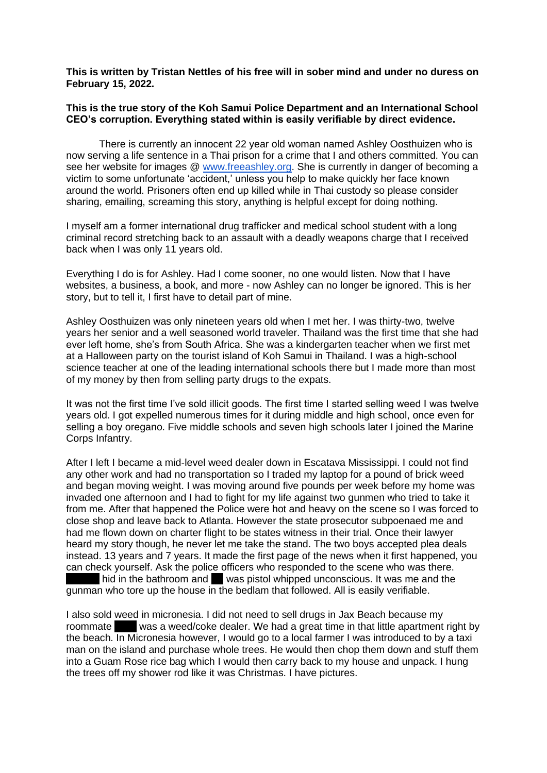**This is written by Tristan Nettles of his free will in sober mind and under no duress on February 15, 2022.**

## **This is the true story of the Koh Samui Police Department and an International School CEO's corruption. Everything stated within is easily verifiable by direct evidence.**

There is currently an innocent 22 year old woman named Ashley Oosthuizen who is now serving a life sentence in a Thai prison for a crime that I and others committed. You can see her website for images @ [www.freeashley.org.](http://www.freeashley.org/) She is currently in danger of becoming a victim to some unfortunate 'accident,' unless you help to make quickly her face known around the world. Prisoners often end up killed while in Thai custody so please consider sharing, emailing, screaming this story, anything is helpful except for doing nothing.

I myself am a former international drug trafficker and medical school student with a long criminal record stretching back to an assault with a deadly weapons charge that I received back when I was only 11 years old.

Everything I do is for Ashley. Had I come sooner, no one would listen. Now that I have websites, a business, a book, and more - now Ashley can no longer be ignored. This is her story, but to tell it, I first have to detail part of mine.

Ashley Oosthuizen was only nineteen years old when I met her. I was thirty-two, twelve years her senior and a well seasoned world traveler. Thailand was the first time that she had ever left home, she's from South Africa. She was a kindergarten teacher when we first met at a Halloween party on the tourist island of Koh Samui in Thailand. I was a high-school science teacher at one of the leading international schools there but I made more than most of my money by then from selling party drugs to the expats.

It was not the first time I've sold illicit goods. The first time I started selling weed I was twelve years old. I got expelled numerous times for it during middle and high school, once even for selling a boy oregano. Five middle schools and seven high schools later I joined the Marine Corps Infantry.

After I left I became a mid-level weed dealer down in Escatava Mississippi. I could not find any other work and had no transportation so I traded my laptop for a pound of brick weed and began moving weight. I was moving around five pounds per week before my home was invaded one afternoon and I had to fight for my life against two gunmen who tried to take it from me. After that happened the Police were hot and heavy on the scene so I was forced to close shop and leave back to Atlanta. However the state prosecutor subpoenaed me and had me flown down on charter flight to be states witness in their trial. Once their lawyer heard my story though, he never let me take the stand. The two boys accepted plea deals instead. 13 years and 7 years. It made the first page of the news when it first happened, you can check yourself. Ask the police officers who responded to the scene who was there.  $\blacksquare$  hid in the bathroom and  $\blacksquare$  was pistol whipped unconscious. It was me and the gunman who tore up the house in the bedlam that followed. All is easily verifiable.

I also sold weed in micronesia. I did not need to sell drugs in Jax Beach because my roommate was a weed/coke dealer. We had a great time in that little apartment right by the beach. In Micronesia however, I would go to a local farmer I was introduced to by a taxi man on the island and purchase whole trees. He would then chop them down and stuff them into a Guam Rose rice bag which I would then carry back to my house and unpack. I hung the trees off my shower rod like it was Christmas. I have pictures.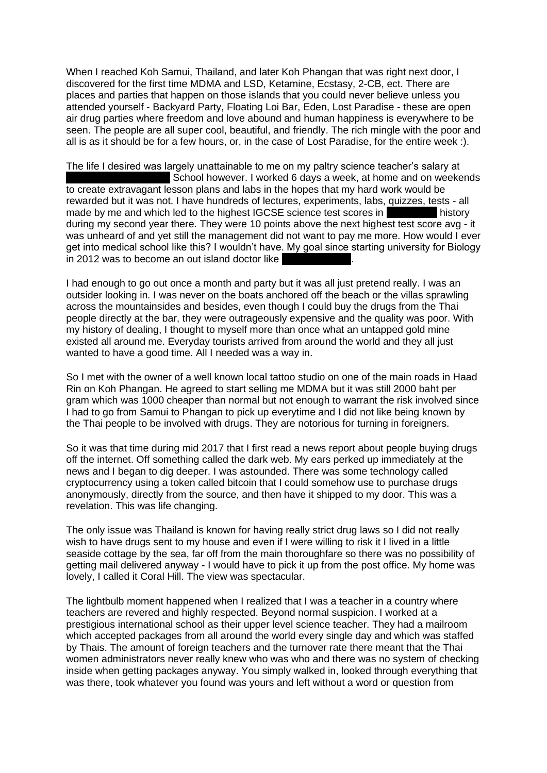When I reached Koh Samui, Thailand, and later Koh Phangan that was right next door, I discovered for the first time MDMA and LSD, Ketamine, Ecstasy, 2-CB, ect. There are places and parties that happen on those islands that you could never believe unless you attended yourself - Backyard Party, Floating Loi Bar, Eden, Lost Paradise - these are open air drug parties where freedom and love abound and human happiness is everywhere to be seen. The people are all super cool, beautiful, and friendly. The rich mingle with the poor and all is as it should be for a few hours, or, in the case of Lost Paradise, for the entire week :).

The life I desired was largely unattainable to me on my paltry science teacher's salary at School however. I worked 6 days a week, at home and on weekends to create extravagant lesson plans and labs in the hopes that my hard work would be rewarded but it was not. I have hundreds of lectures, experiments, labs, quizzes, tests - all made by me and which led to the highest IGCSE science test scores in Panistory during my second year there. They were 10 points above the next highest test score avg - it was unheard of and yet still the management did not want to pay me more. How would I ever get into medical school like this? I wouldn't have. My goal since starting university for Biology  $\overline{a}$  in 2012 was to become an out island doctor like

I had enough to go out once a month and party but it was all just pretend really. I was an outsider looking in. I was never on the boats anchored off the beach or the villas sprawling across the mountainsides and besides, even though I could buy the drugs from the Thai people directly at the bar, they were outrageously expensive and the quality was poor. With my history of dealing, I thought to myself more than once what an untapped gold mine existed all around me. Everyday tourists arrived from around the world and they all just wanted to have a good time. All I needed was a way in.

So I met with the owner of a well known local tattoo studio on one of the main roads in Haad Rin on Koh Phangan. He agreed to start selling me MDMA but it was still 2000 baht per gram which was 1000 cheaper than normal but not enough to warrant the risk involved since I had to go from Samui to Phangan to pick up everytime and I did not like being known by the Thai people to be involved with drugs. They are notorious for turning in foreigners.

So it was that time during mid 2017 that I first read a news report about people buying drugs off the internet. Off something called the dark web. My ears perked up immediately at the news and I began to dig deeper. I was astounded. There was some technology called cryptocurrency using a token called bitcoin that I could somehow use to purchase drugs anonymously, directly from the source, and then have it shipped to my door. This was a revelation. This was life changing.

The only issue was Thailand is known for having really strict drug laws so I did not really wish to have drugs sent to my house and even if I were willing to risk it I lived in a little seaside cottage by the sea, far off from the main thoroughfare so there was no possibility of getting mail delivered anyway - I would have to pick it up from the post office. My home was lovely, I called it Coral Hill. The view was spectacular.

The lightbulb moment happened when I realized that I was a teacher in a country where teachers are revered and highly respected. Beyond normal suspicion. I worked at a prestigious international school as their upper level science teacher. They had a mailroom which accepted packages from all around the world every single day and which was staffed by Thais. The amount of foreign teachers and the turnover rate there meant that the Thai women administrators never really knew who was who and there was no system of checking inside when getting packages anyway. You simply walked in, looked through everything that was there, took whatever you found was yours and left without a word or question from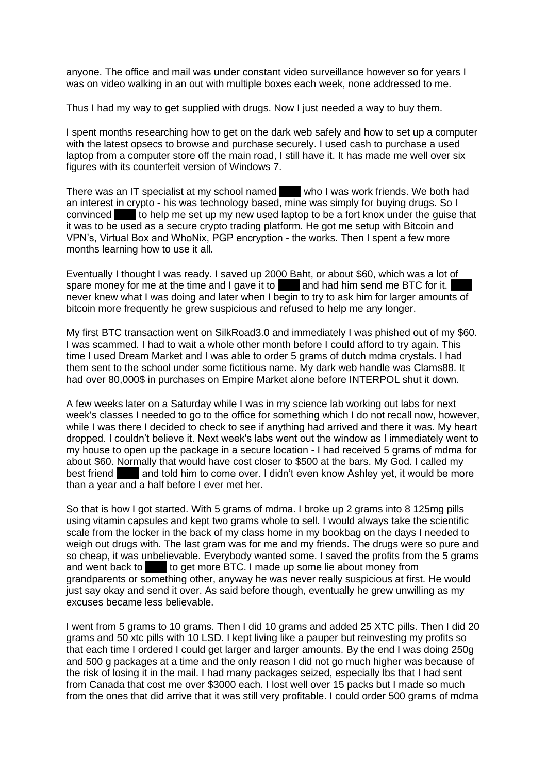anyone. The office and mail was under constant video surveillance however so for years I was on video walking in an out with multiple boxes each week, none addressed to me.

Thus I had my way to get supplied with drugs. Now I just needed a way to buy them.

I spent months researching how to get on the dark web safely and how to set up a computer with the latest opsecs to browse and purchase securely. I used cash to purchase a used laptop from a computer store off the main road, I still have it. It has made me well over six figures with its counterfeit version of Windows 7.

There was an IT specialist at my school named who I was work friends. We both had an interest in crypto - his was technology based, mine was simply for buying drugs. So I convinced to help me set up my new used laptop to be a fort knox under the quise that it was to be used as a secure crypto trading platform. He got me setup with Bitcoin and VPN's, Virtual Box and WhoNix, PGP encryption - the works. Then I spent a few more months learning how to use it all.

Eventually I thought I was ready. I saved up 2000 Baht, or about \$60, which was a lot of spare money for me at the time and I gave it to and had him send me BTC for it. never knew what I was doing and later when I begin to try to ask him for larger amounts of bitcoin more frequently he grew suspicious and refused to help me any longer.

My first BTC transaction went on SilkRoad3.0 and immediately I was phished out of my \$60. I was scammed. I had to wait a whole other month before I could afford to try again. This time I used Dream Market and I was able to order 5 grams of dutch mdma crystals. I had them sent to the school under some fictitious name. My dark web handle was Clams88. It had over 80,000\$ in purchases on Empire Market alone before INTERPOL shut it down.

A few weeks later on a Saturday while I was in my science lab working out labs for next week's classes I needed to go to the office for something which I do not recall now, however, while I was there I decided to check to see if anything had arrived and there it was. My heart dropped. I couldn't believe it. Next week's labs went out the window as I immediately went to my house to open up the package in a secure location - I had received 5 grams of mdma for about \$60. Normally that would have cost closer to \$500 at the bars. My God. I called my best friend **Evan and told him to come over. I didn't even know Ashley yet, it would be more** than a year and a half before I ever met her.

So that is how I got started. With 5 grams of mdma. I broke up 2 grams into 8 125mg pills using vitamin capsules and kept two grams whole to sell. I would always take the scientific scale from the locker in the back of my class home in my bookbag on the days I needed to weigh out drugs with. The last gram was for me and my friends. The drugs were so pure and so cheap, it was unbelievable. Everybody wanted some. I saved the profits from the 5 grams and went back to **Mike to get more BTC.** I made up some lie about money from grandparents or something other, anyway he was never really suspicious at first. He would just say okay and send it over. As said before though, eventually he grew unwilling as my excuses became less believable.

I went from 5 grams to 10 grams. Then I did 10 grams and added 25 XTC pills. Then I did 20 grams and 50 xtc pills with 10 LSD. I kept living like a pauper but reinvesting my profits so that each time I ordered I could get larger and larger amounts. By the end I was doing 250g and 500 g packages at a time and the only reason I did not go much higher was because of the risk of losing it in the mail. I had many packages seized, especially lbs that I had sent from Canada that cost me over \$3000 each. I lost well over 15 packs but I made so much from the ones that did arrive that it was still very profitable. I could order 500 grams of mdma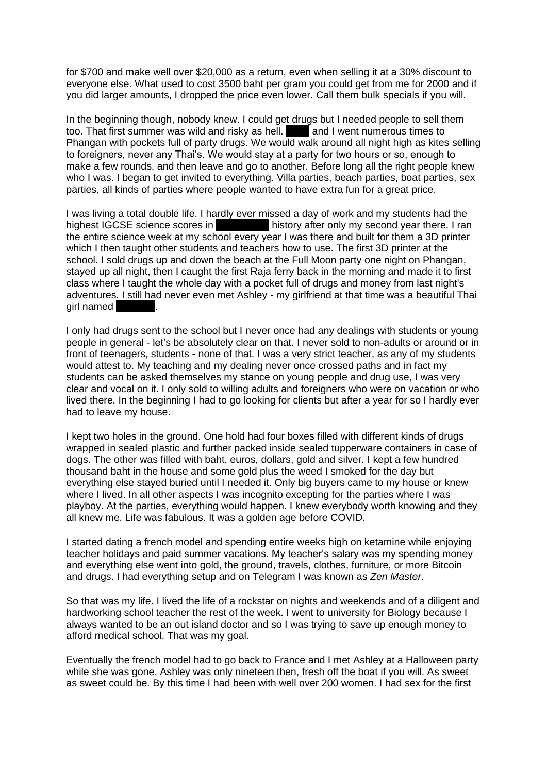for \$700 and make well over \$20,000 as a return, even when selling it at a 30% discount to everyone else. What used to cost 3500 baht per gram you could get from me for 2000 and if you did larger amounts, I dropped the price even lower. Call them bulk specials if you will.

In the beginning though, nobody knew. I could get drugs but I needed people to sell them too. That first summer was wild and risky as hell. **The and I went numerous times to** Phangan with pockets full of party drugs. We would walk around all night high as kites selling to foreigners, never any Thai's. We would stay at a party for two hours or so, enough to make a few rounds, and then leave and go to another. Before long all the right people knew who I was. I began to get invited to everything. Villa parties, beach parties, boat parties, sex parties, all kinds of parties where people wanted to have extra fun for a great price.

I was living a total double life. I hardly ever missed a day of work and my students had the highest IGCSE science scores in history after only my second year there. I ran the entire science week at my school every year I was there and built for them a 3D printer which I then taught other students and teachers how to use. The first 3D printer at the school. I sold drugs up and down the beach at the Full Moon party one night on Phangan, stayed up all night, then I caught the first Raja ferry back in the morning and made it to first class where I taught the whole day with a pocket full of drugs and money from last night's adventures. I still had never even met Ashley - my girlfriend at that time was a beautiful Thai girl named

I only had drugs sent to the school but I never once had any dealings with students or young people in general - let's be absolutely clear on that. I never sold to non-adults or around or in front of teenagers, students - none of that. I was a very strict teacher, as any of my students would attest to. My teaching and my dealing never once crossed paths and in fact my students can be asked themselves my stance on young people and drug use, I was very clear and vocal on it. I only sold to willing adults and foreigners who were on vacation or who lived there. In the beginning I had to go looking for clients but after a year for so I hardly ever had to leave my house.

I kept two holes in the ground. One hold had four boxes filled with different kinds of drugs wrapped in sealed plastic and further packed inside sealed tupperware containers in case of dogs. The other was filled with baht, euros, dollars, gold and silver. I kept a few hundred thousand baht in the house and some gold plus the weed I smoked for the day but everything else stayed buried until I needed it. Only big buyers came to my house or knew where I lived. In all other aspects I was incognito excepting for the parties where I was playboy. At the parties, everything would happen. I knew everybody worth knowing and they all knew me. Life was fabulous. It was a golden age before COVID.

I started dating a french model and spending entire weeks high on ketamine while enjoying teacher holidays and paid summer vacations. My teacher's salary was my spending money and everything else went into gold, the ground, travels, clothes, furniture, or more Bitcoin and drugs. I had everything setup and on Telegram I was known as *Zen Master*.

So that was my life. I lived the life of a rockstar on nights and weekends and of a diligent and hardworking school teacher the rest of the week. I went to university for Biology because I always wanted to be an out island doctor and so I was trying to save up enough money to afford medical school. That was my goal.

Eventually the french model had to go back to France and I met Ashley at a Halloween party while she was gone. Ashley was only nineteen then, fresh off the boat if you will. As sweet as sweet could be. By this time I had been with well over 200 women. I had sex for the first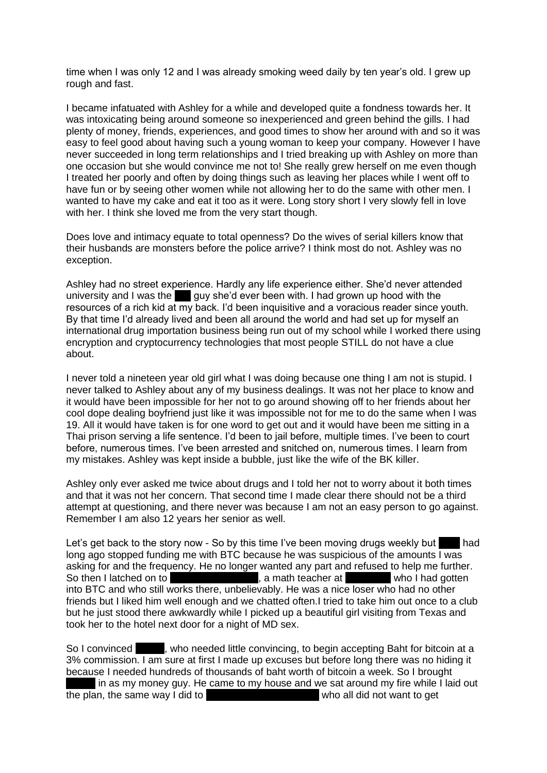time when I was only 12 and I was already smoking weed daily by ten year's old. I grew up rough and fast.

I became infatuated with Ashley for a while and developed quite a fondness towards her. It was intoxicating being around someone so inexperienced and green behind the gills. I had plenty of money, friends, experiences, and good times to show her around with and so it was easy to feel good about having such a young woman to keep your company. However I have never succeeded in long term relationships and I tried breaking up with Ashley on more than one occasion but she would convince me not to! She really grew herself on me even though I treated her poorly and often by doing things such as leaving her places while I went off to have fun or by seeing other women while not allowing her to do the same with other men. I wanted to have my cake and eat it too as it were. Long story short I very slowly fell in love with her. I think she loved me from the very start though.

Does love and intimacy equate to total openness? Do the wives of serial killers know that their husbands are monsters before the police arrive? I think most do not. Ashley was no exception.

Ashley had no street experience. Hardly any life experience either. She'd never attended university and I was the  $\blacksquare$  guy she'd ever been with. I had grown up hood with the resources of a rich kid at my back. I'd been inquisitive and a voracious reader since youth. By that time I'd already lived and been all around the world and had set up for myself an international drug importation business being run out of my school while I worked there using encryption and cryptocurrency technologies that most people STILL do not have a clue about.

I never told a nineteen year old girl what I was doing because one thing I am not is stupid. I never talked to Ashley about any of my business dealings. It was not her place to know and it would have been impossible for her not to go around showing off to her friends about her cool dope dealing boyfriend just like it was impossible not for me to do the same when I was 19. All it would have taken is for one word to get out and it would have been me sitting in a Thai prison serving a life sentence. I'd been to jail before, multiple times. I've been to court before, numerous times. I've been arrested and snitched on, numerous times. I learn from my mistakes. Ashley was kept inside a bubble, just like the wife of the BK killer.

Ashley only ever asked me twice about drugs and I told her not to worry about it both times and that it was not her concern. That second time I made clear there should not be a third attempt at questioning, and there never was because I am not an easy person to go against. Remember I am also 12 years her senior as well.

Let's get back to the story now - So by this time I've been moving drugs weekly but  $\blacksquare$  had long ago stopped funding me with BTC because he was suspicious of the amounts I was asking for and the frequency. He no longer wanted any part and refused to help me further. So then I latched on to Sergei Rumyantsev, a math teacher at Taylor Number who I had gotten into BTC and who still works there, unbelievably. He was a nice loser who had no other friends but I liked him well enough and we chatted often.I tried to take him out once to a club but he just stood there awkwardly while I picked up a beautiful girl visiting from Texas and took her to the hotel next door for a night of MD sex.

So I convinced servey between the convincing, to begin accepting Baht for bitcoin at a 3% commission. I am sure at first I made up excuses but before long there was no hiding it because I needed hundreds of thousands of baht worth of bitcoin a week. So I brought

in as my money guy. He came to my house and we sat around my fire while I laid out the plan, the same way I did to Grahm Muslim who all did not want to get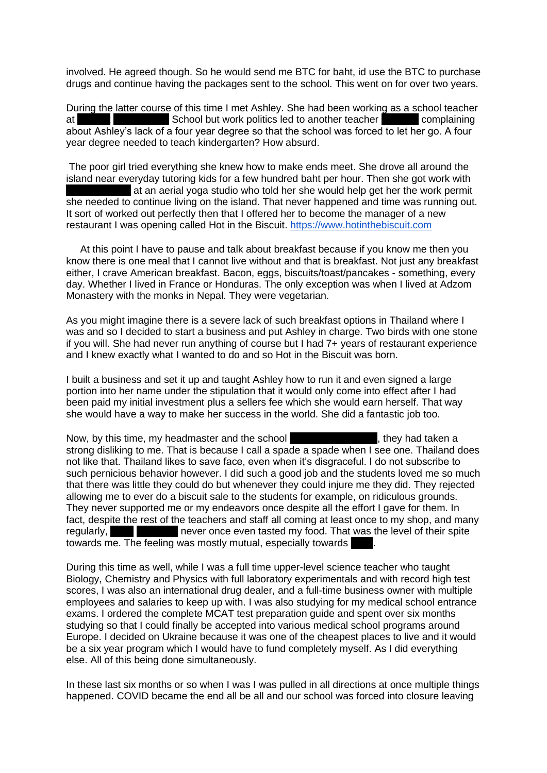involved. He agreed though. So he would send me BTC for baht, id use the BTC to purchase drugs and continue having the packages sent to the school. This went on for over two years.

During the latter course of this time I met Ashley. She had been working as a school teacher at Oonrak International School but work politics led to another teacher Tamarin complaining about Ashley's lack of a four year degree so that the school was forced to let her go. A four year degree needed to teach kindergarten? How absurd.

The poor girl tried everything she knew how to make ends meet. She drove all around the island near everyday tutoring kids for a few hundred baht per hour. Then she got work with at an aerial yoga studio who told her she would help get her the work permit she needed to continue living on the island. That never happened and time was running out. It sort of worked out perfectly then that I offered her to become the manager of a new restaurant I was opening called Hot in the Biscuit. [https://www.hotinthebiscuit.com](https://www.hotinthebiscuit.com/)

 At this point I have to pause and talk about breakfast because if you know me then you know there is one meal that I cannot live without and that is breakfast. Not just any breakfast either, I crave American breakfast. Bacon, eggs, biscuits/toast/pancakes - something, every day. Whether I lived in France or Honduras. The only exception was when I lived at Adzom Monastery with the monks in Nepal. They were vegetarian.

As you might imagine there is a severe lack of such breakfast options in Thailand where I was and so I decided to start a business and put Ashley in charge. Two birds with one stone if you will. She had never run anything of course but I had 7+ years of restaurant experience and I knew exactly what I wanted to do and so Hot in the Biscuit was born.

I built a business and set it up and taught Ashley how to run it and even signed a large portion into her name under the stipulation that it would only come into effect after I had been paid my initial investment plus a sellers fee which she would earn herself. That way she would have a way to make her success in the world. She did a fantastic job too.

Now, by this time, my headmaster and the school **CEO, Liam Capone, they had taken a** strong disliking to me. That is because I call a spade a spade when I see one. Thailand does not like that. Thailand likes to save face, even when it's disgraceful. I do not subscribe to such pernicious behavior however. I did such a good job and the students loved me so much that there was little they could do but whenever they could injure me they did. They rejected allowing me to ever do a biscuit sale to the students for example, on ridiculous grounds. They never supported me or my endeavors once despite all the effort I gave for them. In fact, despite the rest of the teachers and staff all coming at least once to my shop, and many regularly, The Liam never once even tasted my food. That was the level of their spite towards me. The feeling was mostly mutual, especially towards

During this time as well, while I was a full time upper-level science teacher who taught Biology, Chemistry and Physics with full laboratory experimentals and with record high test scores, I was also an international drug dealer, and a full-time business owner with multiple employees and salaries to keep up with. I was also studying for my medical school entrance exams. I ordered the complete MCAT test preparation guide and spent over six months studying so that I could finally be accepted into various medical school programs around Europe. I decided on Ukraine because it was one of the cheapest places to live and it would be a six year program which I would have to fund completely myself. As I did everything else. All of this being done simultaneously.

In these last six months or so when I was I was pulled in all directions at once multiple things happened. COVID became the end all be all and our school was forced into closure leaving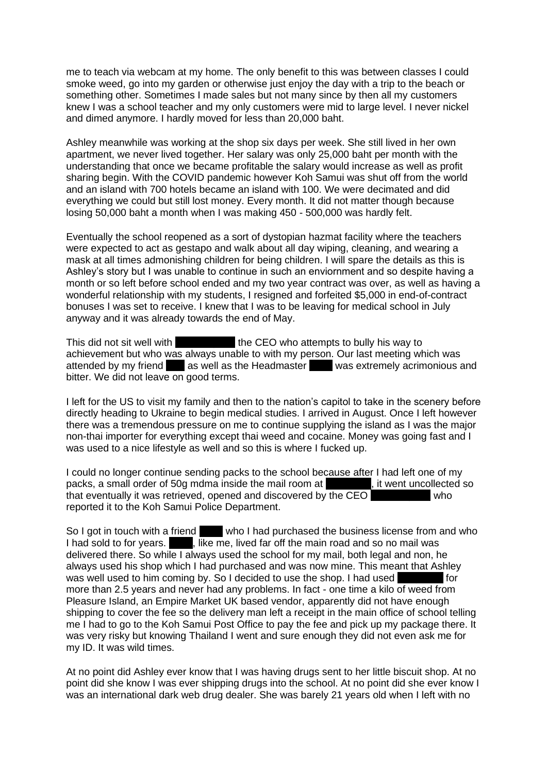me to teach via webcam at my home. The only benefit to this was between classes I could smoke weed, go into my garden or otherwise just enjoy the day with a trip to the beach or something other. Sometimes I made sales but not many since by then all my customers knew I was a school teacher and my only customers were mid to large level. I never nickel and dimed anymore. I hardly moved for less than 20,000 baht.

Ashley meanwhile was working at the shop six days per week. She still lived in her own apartment, we never lived together. Her salary was only 25,000 baht per month with the understanding that once we became profitable the salary would increase as well as profit sharing begin. With the COVID pandemic however Koh Samui was shut off from the world and an island with 700 hotels became an island with 100. We were decimated and did everything we could but still lost money. Every month. It did not matter though because losing 50,000 baht a month when I was making 450 - 500,000 was hardly felt.

Eventually the school reopened as a sort of dystopian hazmat facility where the teachers were expected to act as gestapo and walk about all day wiping, cleaning, and wearing a mask at all times admonishing children for being children. I will spare the details as this is Ashley's story but I was unable to continue in such an enviornment and so despite having a month or so left before school ended and my two year contract was over, as well as having a wonderful relationship with my students, I resigned and forfeited \$5,000 in end-of-contract bonuses I was set to receive. I knew that I was to be leaving for medical school in July anyway and it was already towards the end of May.

This did not sit well with Liam Libar the CEO who attempts to bully his way to achievement but who was always unable to with my person. Our last meeting which was attended by my friend as well as the Headmaster was extremely acrimonious and bitter. We did not leave on good terms.

I left for the US to visit my family and then to the nation's capitol to take in the scenery before directly heading to Ukraine to begin medical studies. I arrived in August. Once I left however there was a tremendous pressure on me to continue supplying the island as I was the major non-thai importer for everything except thai weed and cocaine. Money was going fast and I was used to a nice lifestyle as well and so this is where I fucked up.

I could no longer continue sending packs to the school because after I had left one of my packs, a small order of 50g mdma inside the mail room at  $\blacksquare$ , it went uncollected so packs, a small order of 50g mdma inside the mail room at that eventually it was retrieved, opened and discovered by the CEO victor who reported it to the Koh Samui Police Department.

So I got in touch with a friend who I had purchased the business license from and who I had sold to for years.  $\overline{\phantom{a}}$ , like me, lived far off the main road and so no mail was delivered there. So while I always used the school for my mail, both legal and non, he always used his shop which I had purchased and was now mine. This meant that Ashley was well used to him coming by. So I decided to use the shop. I had used For more than 2.5 years and never had any problems. In fact - one time a kilo of weed from Pleasure Island, an Empire Market UK based vendor, apparently did not have enough shipping to cover the fee so the delivery man left a receipt in the main office of school telling me I had to go to the Koh Samui Post Office to pay the fee and pick up my package there. It was very risky but knowing Thailand I went and sure enough they did not even ask me for my ID. It was wild times.

At no point did Ashley ever know that I was having drugs sent to her little biscuit shop. At no point did she know I was ever shipping drugs into the school. At no point did she ever know I was an international dark web drug dealer. She was barely 21 years old when I left with no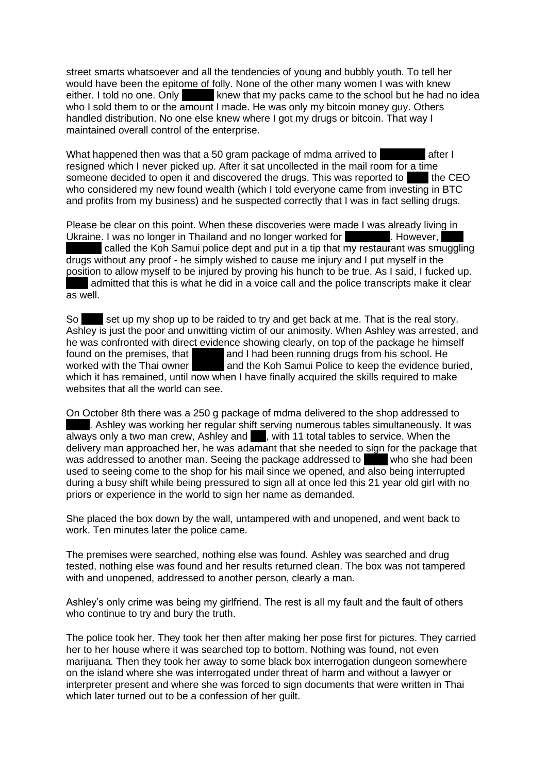street smarts whatsoever and all the tendencies of young and bubbly youth. To tell her would have been the epitome of folly. None of the other many women I was with knew either. I told no one. Only servey knew that my packs came to the school but he had no idea who I sold them to or the amount I made. He was only my bitcoin money guy. Others handled distribution. No one else knew where I got my drugs or bitcoin. That way I maintained overall control of the enterprise.

What happened then was that a 50 gram package of mdma arrived to  $\blacksquare$  after I resigned which I never picked up. After it sat uncollected in the mail room for a time someone decided to open it and discovered the drugs. This was reported to Liam the CEO who considered my new found wealth (which I told everyone came from investing in BTC and profits from my business) and he suspected correctly that I was in fact selling drugs.

Please be clear on this point. When these discoveries were made I was already living in Ukraine. I was no longer in Thailand and no longer worked for Fanglee However, called the Koh Samui police dept and put in a tip that my restaurant was smuggling drugs without any proof - he simply wished to cause me injury and I put myself in the position to allow myself to be injured by proving his hunch to be true. As I said, I fucked up. admitted that this is what he did in a voice call and the police transcripts make it clear as well.

So set up my shop up to be raided to try and get back at me. That is the real story. Ashley is just the poor and unwitting victim of our animosity. When Ashley was arrested, and he was confronted with direct evidence showing clearly, on top of the package he himself found on the premises, that and I had been running drugs from his school. He worked with the Thai owner and the Koh Samui Police to keep the evidence bu and the Koh Samui Police to keep the evidence buried. which it has remained, until now when I have finally acquired the skills required to make websites that all the world can see.

On October 8th there was a 250 g package of mdma delivered to the shop addressed to . Ashley was working her regular shift serving numerous tables simultaneously. It was always only a two man crew, Ashley and  $\blacksquare$ , with 11 total tables to service. When the delivery man approached her, he was adamant that she needed to sign for the package that was addressed to another man. Seeing the package addressed to who she had been used to seeing come to the shop for his mail since we opened, and also being interrupted during a busy shift while being pressured to sign all at once led this 21 year old girl with no priors or experience in the world to sign her name as demanded.

She placed the box down by the wall, untampered with and unopened, and went back to work. Ten minutes later the police came.

The premises were searched, nothing else was found. Ashley was searched and drug tested, nothing else was found and her results returned clean. The box was not tampered with and unopened, addressed to another person, clearly a man.

Ashley's only crime was being my girlfriend. The rest is all my fault and the fault of others who continue to try and bury the truth.

The police took her. They took her then after making her pose first for pictures. They carried her to her house where it was searched top to bottom. Nothing was found, not even marijuana. Then they took her away to some black box interrogation dungeon somewhere on the island where she was interrogated under threat of harm and without a lawyer or interpreter present and where she was forced to sign documents that were written in Thai which later turned out to be a confession of her quilt.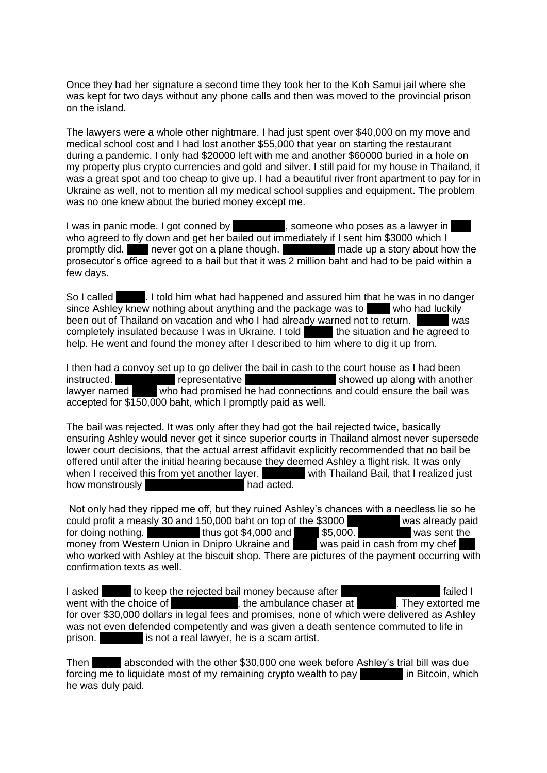Once they had her signature a second time they took her to the Koh Samui jail where she was kept for two days without any phone calls and then was moved to the provincial prison on the island.

The lawyers were a whole other nightmare. I had just spent over \$40,000 on my move and medical school cost and I had lost another \$55,000 that year on starting the restaurant during a pandemic. I only had \$20000 left with me and another \$60000 buried in a hole on my property plus crypto currencies and gold and silver. I still paid for my house in Thailand, it was a great spot and too cheap to give up. I had a beautiful river front apartment to pay for in Ukraine as well, not to mention all my medical school supplies and equipment. The problem was no one knew about the buried money except me.

I was in panic mode. I got conned by Nike Green, someone who poses as a lawyer in who agreed to fly down and get her bailed out immediately if I sent him \$3000 which I promptly did. Mike never got on a plane though. Mike made up a story about how the prosecutor's office agreed to a bail but that it was 2 million baht and had to be paid within a few days.

So I called Sergein. I told him what had happened and assured him that he was in no danger since Ashlev knew nothing about anything and the package was to which had luckily since Ashley knew nothing about anything and the package was to been out of Thailand on vacation and who I had already warned not to return. Next was completely insulated because I was in Ukraine. I told the situation and he agreed to help. He went and found the money after I described to him where to dig it up from.

I then had a convoy set up to go deliver the bail in cash to the court house as I had been instructed.<br>
I know the Green's representative Technical showed up along with another<br>
I awyer named Teeranan Chuaichai who had promised he had connections and could ensure the bail was  $\overline{\phantom{a}}$  who had promised he had connections and could ensure the bail was accepted for \$150,000 baht, which I promptly paid as well.

The bail was rejected. It was only after they had got the bail rejected twice, basically ensuring Ashley would never get it since superior courts in Thailand almost never supersede lower court decisions, that the actual arrest affidavit explicitly recommended that no bail be offered until after the initial hearing because they deemed Ashley a flight risk. It was only when I received this from yet another layer, North Thailand Bail, that I realized just how monstrously Mike Green and Acted.

Not only had they ripped me off, but they ruined Ashley's chances with a needless lie so he could profit a measly 30 and 150,000 baht on top of the \$3000 was already paid for doing nothing. Thus got  $$4,000$  and  $$5,000$ . money from Western Union in Dnipro Ukraine and K was paid in cash from my chef who worked with Ashley at the biscuit shop. There are pictures of the payment occurring with confirmation texts as well.

I asked seep the rejected bail money because after the sergential failed I money because after the Sergei of The Microsofted money is and Microsofted money in the ambulance chaser at went with the choice of  $\blacksquare$ , the ambulance chaser at  $\blacksquare$ . They extorted me for over \$30,000 dollars in legal fees and promises, none of which were delivered as Ashley was not even defended competently and was given a death sentence commuted to life in prison. Nonposition is not a real lawyer, he is a scam artist.

Then Sergei absconded with the other \$30,000 one week before Ashley's trial bill was due forcing me to liquidate most of my remaining crypto wealth to pay  $\blacksquare$  in Bitcoin, which he was duly paid.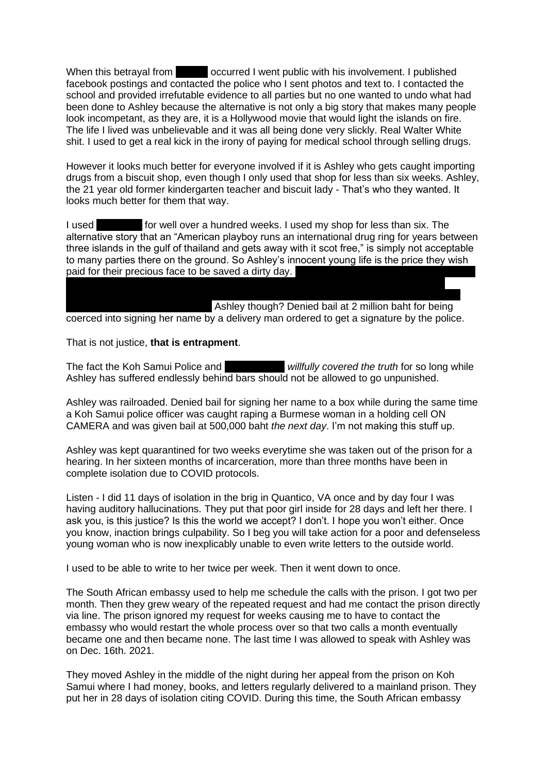When this betrayal from Secret I went public with his involvement. I published facebook postings and contacted the police who I sent photos and text to. I contacted the school and provided irrefutable evidence to all parties but no one wanted to undo what had been done to Ashley because the alternative is not only a big story that makes many people look incompetant, as they are, it is a Hollywood movie that would light the islands on fire. The life I lived was unbelievable and it was all being done very slickly. Real Walter White shit. I used to get a real kick in the irony of paying for medical school through selling drugs.

However it looks much better for everyone involved if it is Ashley who gets caught importing drugs from a biscuit shop, even though I only used that shop for less than six weeks. Ashley, the 21 year old former kindergarten teacher and biscuit lady - That's who they wanted. It looks much better for them that way.

I used **Panyade for well over a hundred weeks. I used my shop for less than six. The** alternative story that an "American playboy runs an international drug ring for years between three islands in the gulf of thailand and gets away with it scot free," is simply not acceptable to many parties there on the ground. So Ashley's innocent young life is the price they wish paid for their precious face to be saved a dirty day.

Another cop was given 500,000 baht bail after admitting to shooting his wife in the head, Ashley though? Denied bail at 2 million baht for being. coerced into signing her name by a delivery man ordered to get a signature by the police.

That is not justice, **that is entrapment**.

The fact the Koh Samui Police and **Liam Capone** *willfully covered the truth* for so long while Ashley has suffered endlessly behind bars should not be allowed to go unpunished.

Ashley was railroaded. Denied bail for signing her name to a box while during the same time a Koh Samui police officer was caught raping a Burmese woman in a holding cell ON CAMERA and was given bail at 500,000 baht *the next day*. I'm not making this stuff up.

Ashley was kept quarantined for two weeks everytime she was taken out of the prison for a hearing. In her sixteen months of incarceration, more than three months have been in complete isolation due to COVID protocols.

Listen - I did 11 days of isolation in the brig in Quantico, VA once and by day four I was having auditory hallucinations. They put that poor girl inside for 28 days and left her there. I ask you, is this justice? Is this the world we accept? I don't. I hope you won't either. Once you know, inaction brings culpability. So I beg you will take action for a poor and defenseless young woman who is now inexplicably unable to even write letters to the outside world.

I used to be able to write to her twice per week. Then it went down to once.

The South African embassy used to help me schedule the calls with the prison. I got two per month. Then they grew weary of the repeated request and had me contact the prison directly via line. The prison ignored my request for weeks causing me to have to contact the embassy who would restart the whole process over so that two calls a month eventually became one and then became none. The last time I was allowed to speak with Ashley was on Dec. 16th. 2021.

They moved Ashley in the middle of the night during her appeal from the prison on Koh Samui where I had money, books, and letters regularly delivered to a mainland prison. They put her in 28 days of isolation citing COVID. During this time, the South African embassy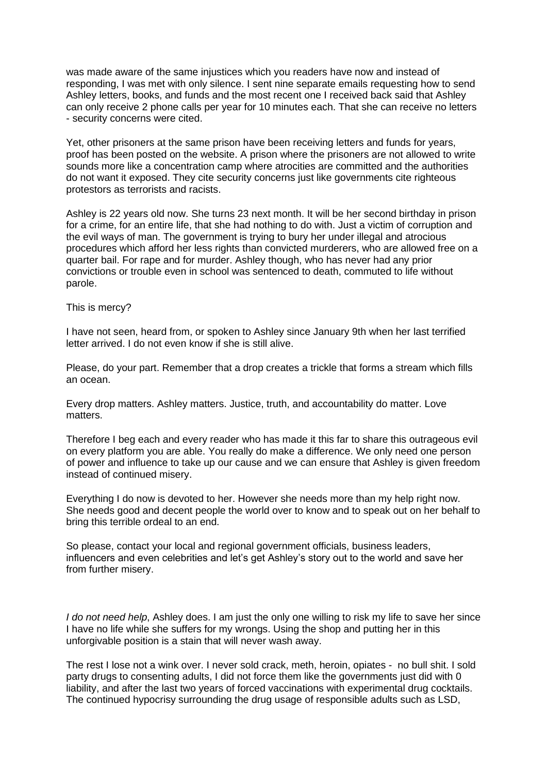was made aware of the same injustices which you readers have now and instead of responding, I was met with only silence. I sent nine separate emails requesting how to send Ashley letters, books, and funds and the most recent one I received back said that Ashley can only receive 2 phone calls per year for 10 minutes each. That she can receive no letters - security concerns were cited.

Yet, other prisoners at the same prison have been receiving letters and funds for years, proof has been posted on the website. A prison where the prisoners are not allowed to write sounds more like a concentration camp where atrocities are committed and the authorities do not want it exposed. They cite security concerns just like governments cite righteous protestors as terrorists and racists.

Ashley is 22 years old now. She turns 23 next month. It will be her second birthday in prison for a crime, for an entire life, that she had nothing to do with. Just a victim of corruption and the evil ways of man. The government is trying to bury her under illegal and atrocious procedures which afford her less rights than convicted murderers, who are allowed free on a quarter bail. For rape and for murder. Ashley though, who has never had any prior convictions or trouble even in school was sentenced to death, commuted to life without parole.

This is mercy?

I have not seen, heard from, or spoken to Ashley since January 9th when her last terrified letter arrived. I do not even know if she is still alive.

Please, do your part. Remember that a drop creates a trickle that forms a stream which fills an ocean.

Every drop matters. Ashley matters. Justice, truth, and accountability do matter. Love matters.

Therefore I beg each and every reader who has made it this far to share this outrageous evil on every platform you are able. You really do make a difference. We only need one person of power and influence to take up our cause and we can ensure that Ashley is given freedom instead of continued misery.

Everything I do now is devoted to her. However she needs more than my help right now. She needs good and decent people the world over to know and to speak out on her behalf to bring this terrible ordeal to an end.

So please, contact your local and regional government officials, business leaders, influencers and even celebrities and let's get Ashley's story out to the world and save her from further misery.

*I do not need help*, Ashley does. I am just the only one willing to risk my life to save her since I have no life while she suffers for my wrongs. Using the shop and putting her in this unforgivable position is a stain that will never wash away.

The rest I lose not a wink over. I never sold crack, meth, heroin, opiates - no bull shit. I sold party drugs to consenting adults, I did not force them like the governments just did with 0 liability, and after the last two years of forced vaccinations with experimental drug cocktails. The continued hypocrisy surrounding the drug usage of responsible adults such as LSD,